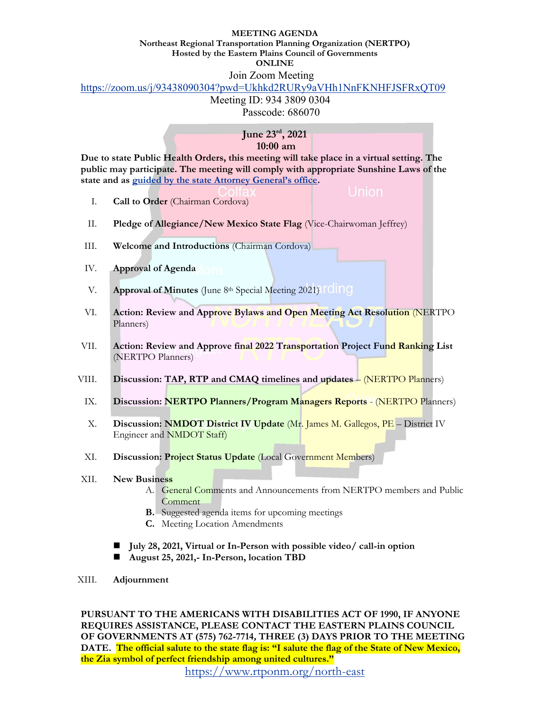## **MEETING AGENDA**

**Northeast Regional Transportation Planning Organization (NERTPO) Hosted by the Eastern Plains Council of Governments**

**ONLINE**

## Join Zoom Meeting

https://zoom.us/j/93438090304?pwd=Ukhkd2RURy9aVHh1NnFKNHFJSFRxQT09

Meeting ID: 934 3809 0304 Passcode: 686070

## **June 23rd, 2021 10:00 am**

**Due to state Public Health Orders, this meeting will take place in a virtual setting. The public may participate. The meeting will comply with appropriate Sunshine Laws of the state and as guided by the state Attorney General's office.**

- I. **Call to Order** (Chairman Cordova)
- II. **Pledge of Allegiance/New Mexico State Flag** (Vice-Chairwoman Jeffrey)
- III. **Welcome and Introductions** (Chairman Cordova)
- IV. **Approval of Agenda**
- V. **Approval of Minutes** (June 8<sup>th</sup> Special Meeting 2021) **FOIDO**
- VI. **Action: Review and Approve Bylaws and Open Meeting Act Resolution** (NERTPO Planners)
- VII. **Action: Review and Approve final 2022 Transportation Project Fund Ranking List**  (NERTPO Planners)
- VIII. **Discussion: TAP, RTP and CMAQ timelines and updates** (NERTPO Planners)
	- IX. **Discussion: NERTPO Planners/Program Managers Reports** (NERTPO Planners)
	- X. **Discussion: NMDOT District IV Update** (Mr. James M. Gallegos, PE District IV Engineer and NMDOT Staff)
	- XI. **Discussion: Project Status Update** (Local Government Members)

## XII. **New Business**

- A. General Comments and Announcements from NERTPO members and Public **Comment**
- **B.** Suggested agenda items for upcoming meetings
- **C.** Meeting Location Amendments
- **July 28, 2021, Virtual or In-Person with possible video/ call-in option**
- **August 25, 2021,- In-Person, location TBD**
- XIII. **Adjournment**

**PURSUANT TO THE AMERICANS WITH DISABILITIES ACT OF 1990, IF ANYONE REQUIRES ASSISTANCE, PLEASE CONTACT THE EASTERN PLAINS COUNCIL OF GOVERNMENTS AT (575) 762-7714, THREE (3) DAYS PRIOR TO THE MEETING DATE. The official salute to the state flag is: "I salute the flag of the State of New Mexico, the Zia symbol of perfect friendship among united cultures."**

https://www.rtponm.org/north-east